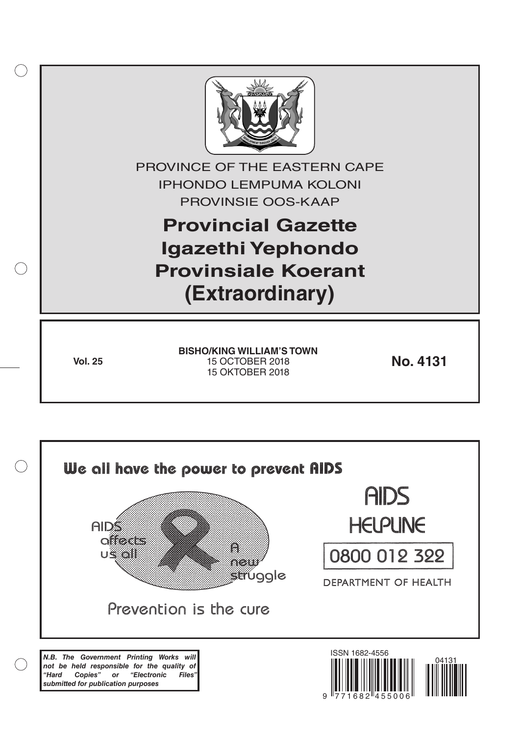

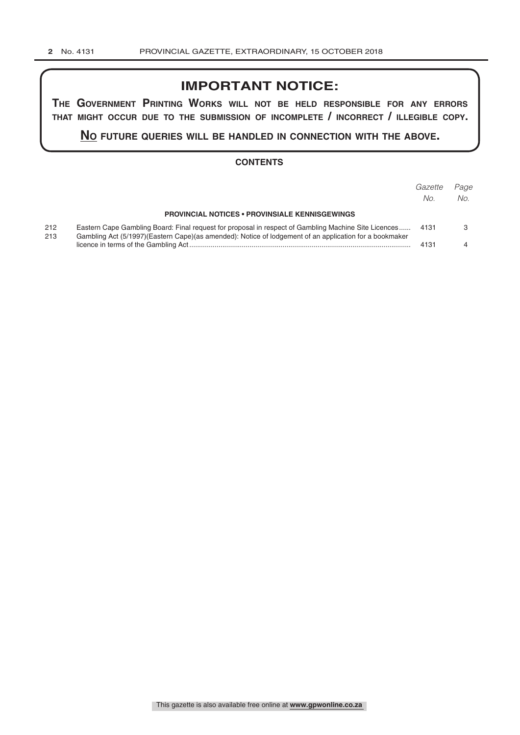# **IMPORTANT NOTICE:**

**The GovernmenT PrinTinG Works Will noT be held resPonsible for any errors ThaT miGhT occur due To The submission of incomPleTe / incorrecT / illeGible coPy.**

**no fuTure queries Will be handled in connecTion WiTh The above.**

#### **CONTENTS**

|            |                                                                                                                                                                                                                       | Gazette<br>No. | Page<br>No. |
|------------|-----------------------------------------------------------------------------------------------------------------------------------------------------------------------------------------------------------------------|----------------|-------------|
|            | <b>PROVINCIAL NOTICES • PROVINSIALE KENNISGEWINGS</b>                                                                                                                                                                 |                |             |
| 212<br>213 | Eastern Cape Gambling Board: Final request for proposal in respect of Gambling Machine Site Licences 4131<br>Gambling Act (5/1997) (Eastern Cape) (as amended): Notice of lodgement of an application for a bookmaker |                |             |
|            |                                                                                                                                                                                                                       | 4131           |             |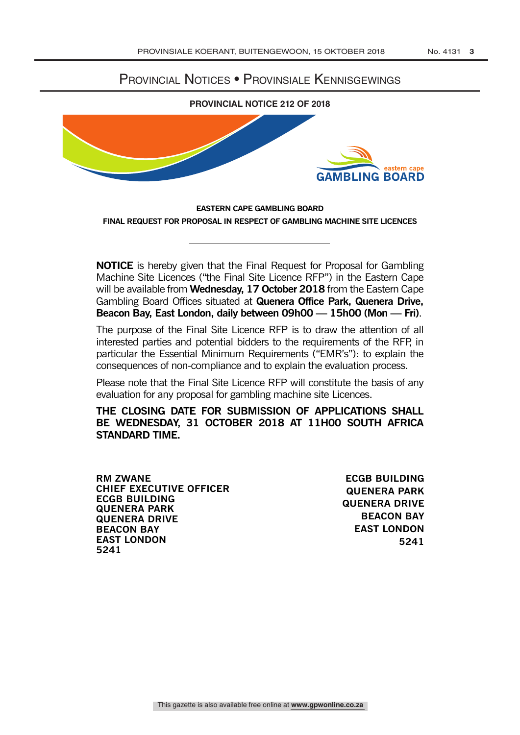## Provincial Notices • Provinsiale Kennisgewings



**EASTERN CAPE GAMBLING BOARD FINAL REQUEST FOR PROPOSAL IN RESPECT OF GAMBLING MACHINE SITE LICENCES** 

**NOTICE** is hereby given that the Final Request for Proposal for Gambling Machine Site Licences ("the Final Site Licence RFP") in the Eastern Cape will be available from **Wednesday, 17 October 2018** from the Eastern Cape Gambling Board Offices situated at **Quenera Office Park, Quenera Drive, Beacon Bay, East London, daily between 09h00 — 15h00 (Mon — Fri)**.

The purpose of the Final Site Licence RFP is to draw the attention of all interested parties and potential bidders to the requirements of the RFP, in particular the Essential Minimum Requirements ("EMR's"): to explain the consequences of non-compliance and to explain the evaluation process.

Please note that the Final Site Licence RFP will constitute the basis of any evaluation for any proposal for gambling machine site Licences.

**THE CLOSING DATE FOR SUBMISSION OF APPLICATIONS SHALL BE WEDNESDAY, 31 OCTOBER 2018 AT 11H00 SOUTH AFRICA STANDARD TIME.**

**RM ZWANE CHIEF ExECUTIvE OFFICER ECGB BUILDING QUENERA PARk QUENERA DRIvE BEACON BAY EAST LONDON 5241**

**ECGB BUILDING QUENERA PARk QUENERA DRIvE BEACON BAY EAST LONDON 5241**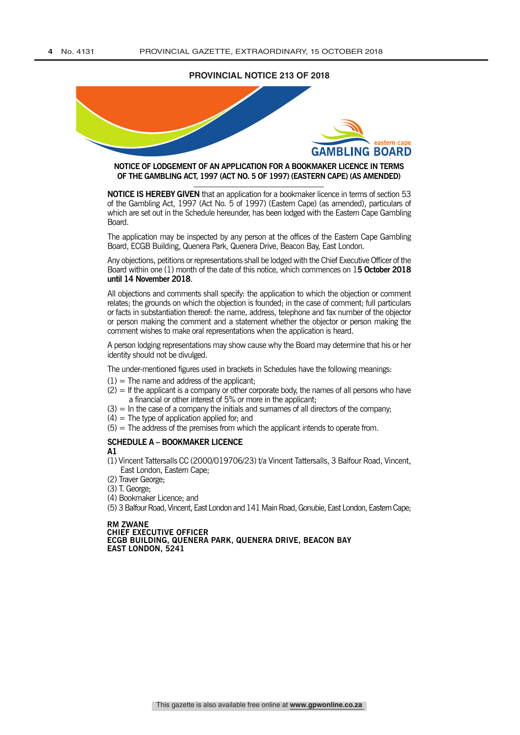**PROVINCIAL NOTICE 213 OF 2018** 



**NOTICE OF LODGEMENT OF AN APPLICATION FOR A BOOKMAKER LICENCE IN TERMS OF THE GAMBLING ACT, 1997 (ACT NO. 5 OF 1997) (EASTERN CAPE) (AS AMENDED)**

**NOTICE IS HEREBY GIVEN** that an application for a bookmaker licence in terms of section 53 of the Gambling Act, 1997 (Act No. 5 of 1997) (Eastern Cape) (as amended), particulars of which are set out in the Schedule hereunder, has been lodged with the Eastern Cape Gambling Board.

The application may be inspected by any person at the offices of the Eastern Cape Gambling Board, ECGB Building, Quenera Park, Quenera Drive, Beacon Bay, East London.

Any objections, petitions or representations shall be lodged with the Chief Executive Officer of the Board within one (1) month of the date of this notice, which commences on 1**5 October 2018 until 14 November 2018**.

All objections and comments shall specify: the application to which the objection or comment relates; the grounds on which the objection is founded; in the case of comment; full particulars or facts in substantiation thereof: the name, address, telephone and fax number of the objector or person making the comment and a statement whether the objector or person making the comment wishes to make oral representations when the application is heard.

A person lodging representations may show cause why the Board may determine that his or her identity should not be divulged.

The under-mentioned figures used in brackets in Schedules have the following meanings:

- $(1)$  = The name and address of the applicant;
- $(2) =$  If the applicant is a company or other corporate body, the names of all persons who have a financial or other interest of 5% or more in the applicant;
- $(3)$  = In the case of a company the initials and surnames of all directors of the company;
- $(4)$  = The type of application applied for; and
- $(5)$  = The address of the premises from which the applicant intends to operate from.

### **SCHEDULE A – BOOKMAKER LICENCE**

- **A1**
- (1) Vincent Tattersalls CC (2000/019706/23) t/a Vincent Tattersalls, 3 Balfour Road, Vincent, East London, Eastern Cape;
- (2) Traver George;
- (3) T. George;
- (4) Bookmaker Licence; and
- (5) 3 Balfour Road, Vincent, East London and 141 Main Road, Gonubie, East London, Eastern Cape;

#### **RM ZwANE**

**CHIEF ExECUTIVE OFFICER ECGB BUILDING, QUENERA PARK, QUENERA DRIVE, BEACON BAY EAST LONDON, 5241**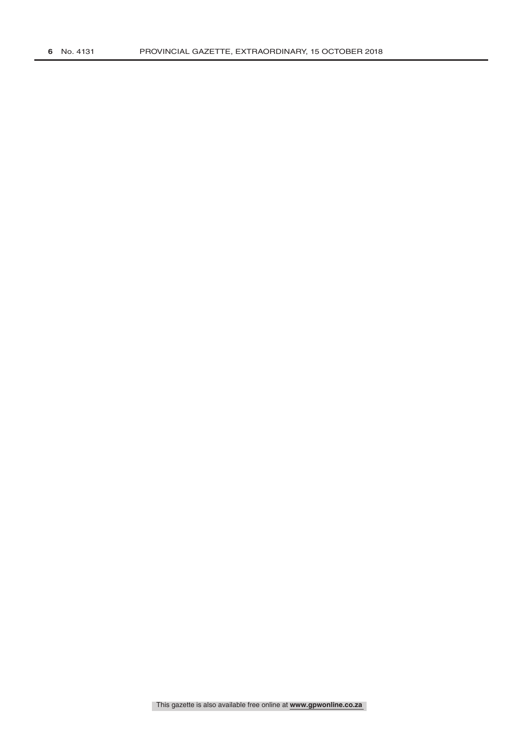This gazette is also available free online at **www.gpwonline.co.za**